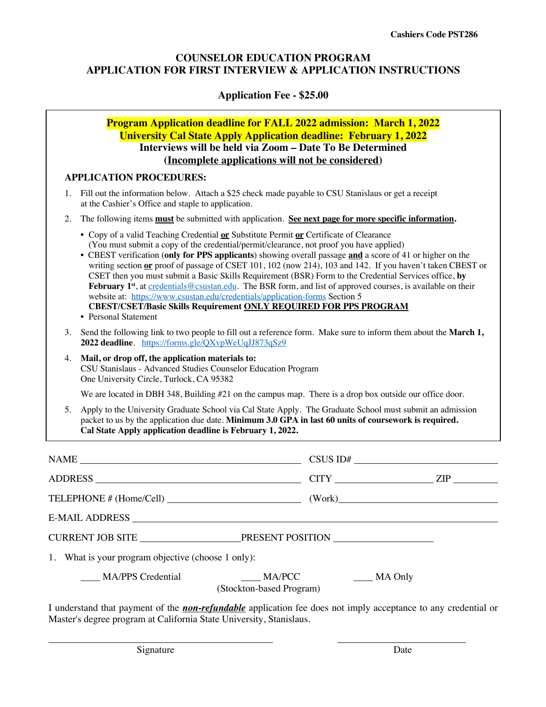# **COUNSELOR EDUCATION PROGRAM APPLICATION FOR FIRST INTERVIEW & APPLICATION INSTRUCTIONS**

## **Application Fee - \$25.00**

# **Program Application deadline for FALL 2022 admission: March 1, 2022 University Cal State Apply Application deadline: February 1, 2022 Interviews will be held via Zoom – Date To Be Determined (Incomplete applications will not be considered)**

## **APPLICATION PROCEDURES:**

- 1. Fill out the information below. Attach a \$25 check made payable to CSU Stanislaus or get a receipt at the Cashier's Office and staple to application.
- 2. The following items **must** be submitted with application. **See next page for more specific information.**
	- Copy of a valid Teaching Credential **or** Substitute Permit **or** Certificate of Clearance (You must submit a copy of the credential/permit/clearance, not proof you have applied)
	- CBEST verification (**only for PPS applicants**) showing overall passage **and** a score of 41 or higher on the writing section **or** proof of passage of CSET 101, 102 (now 214), 103 and 142. If you haven't taken CBEST or CSET then you must submit a Basic Skills Requirement (BSR) Form to the Credential Services office, **by February 1<sup>st</sup>**, at <u>credentials@csustan.edu</u>. The BSR form, and list of approved courses, is available on their website at: https://www.csustan.edu/credentials/application-forms Section 5 **CBEST/CSET/Basic Skills Requirement ONLY REQUIRED FOR PPS PROGRAM**
	- **•** Personal Statement
- 3. Send the following link to two people to fill out a reference form. Make sure to inform them about the **March 1, 2022 deadline**. https://forms.gle/QXvpWeUqJJ873qSz9
- 4. **Mail, or drop off, the application materials to:** CSU Stanislaus - Advanced Studies Counselor Education Program One University Circle, Turlock, CA 95382

We are located in DBH 348, Building #21 on the campus map. There is a drop box outside our office door.

5. Apply to the University Graduate School via Cal State Apply. The Graduate School must submit an admission packet to us by the application due date. **Minimum 3.0 GPA in last 60 units of coursework is required. Cal State Apply application deadline is February 1, 2022.**

| $\begin{tabular}{c} \bf{NAME} \end{tabular}$         |                   |  |
|------------------------------------------------------|-------------------|--|
|                                                      | $CITY$ $ZIP$      |  |
|                                                      |                   |  |
|                                                      |                   |  |
| CURRENT JOB SITE PRESENT POSITION                    |                   |  |
| 1. What is your program objective (choose 1 only):   |                   |  |
| MA/PPS Credential MA/PCC<br>(Stockton-based Program) | $\_\_\_\$ MA Only |  |

I understand that payment of the *non-refundable* application fee does not imply acceptance to any credential or Master's degree program at California State University, Stanislaus.